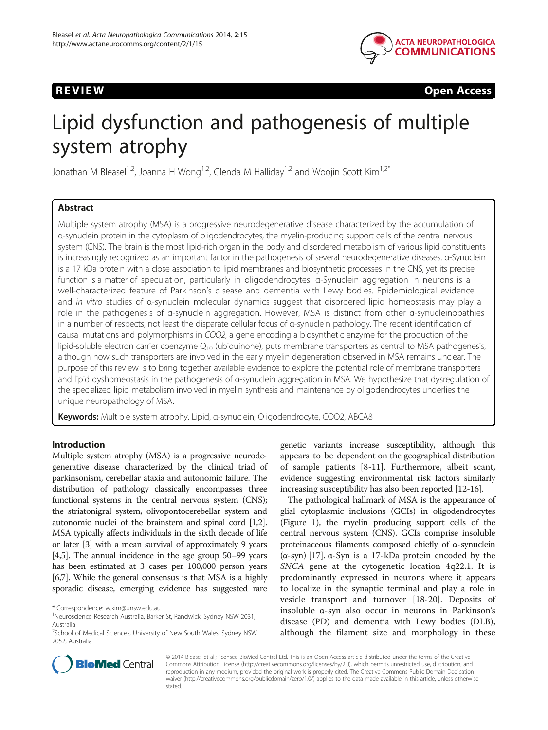

**REVIEW Open Access** 

# Lipid dysfunction and pathogenesis of multiple system atrophy

Jonathan M Bleasel<sup>1,2</sup>, Joanna H Wong<sup>1,2</sup>, Glenda M Halliday<sup>1,2</sup> and Woojin Scott Kim<sup>1,2\*</sup>

# Abstract

Multiple system atrophy (MSA) is a progressive neurodegenerative disease characterized by the accumulation of α-synuclein protein in the cytoplasm of oligodendrocytes, the myelin-producing support cells of the central nervous system (CNS). The brain is the most lipid-rich organ in the body and disordered metabolism of various lipid constituents is increasingly recognized as an important factor in the pathogenesis of several neurodegenerative diseases. α-Synuclein is a 17 kDa protein with a close association to lipid membranes and biosynthetic processes in the CNS, yet its precise function is a matter of speculation, particularly in oligodendrocytes. α-Synuclein aggregation in neurons is a well-characterized feature of Parkinson's disease and dementia with Lewy bodies. Epidemiological evidence and in vitro studies of α-synuclein molecular dynamics suggest that disordered lipid homeostasis may play a role in the pathogenesis of α-synuclein aggregation. However, MSA is distinct from other α-synucleinopathies in a number of respects, not least the disparate cellular focus of α-synuclein pathology. The recent identification of causal mutations and polymorphisms in COQ2, a gene encoding a biosynthetic enzyme for the production of the lipid-soluble electron carrier coenzyme  $Q_{10}$  (ubiquinone), puts membrane transporters as central to MSA pathogenesis, although how such transporters are involved in the early myelin degeneration observed in MSA remains unclear. The purpose of this review is to bring together available evidence to explore the potential role of membrane transporters and lipid dyshomeostasis in the pathogenesis of α-synuclein aggregation in MSA. We hypothesize that dysregulation of the specialized lipid metabolism involved in myelin synthesis and maintenance by oligodendrocytes underlies the unique neuropathology of MSA.

Keywords: Multiple system atrophy, Lipid, α-synuclein, Oligodendrocyte, COQ2, ABCA8

#### Introduction

Multiple system atrophy (MSA) is a progressive neurodegenerative disease characterized by the clinical triad of parkinsonism, cerebellar ataxia and autonomic failure. The distribution of pathology classically encompasses three functional systems in the central nervous system (CNS); the striatonigral system, olivopontocerebellar system and autonomic nuclei of the brainstem and spinal cord [[1,2](#page-7-0)]. MSA typically affects individuals in the sixth decade of life or later [[3](#page-7-0)] with a mean survival of approximately 9 years [[4,5](#page-7-0)]. The annual incidence in the age group 50–99 years has been estimated at 3 cases per 100,000 person years [[6,7](#page-7-0)]. While the general consensus is that MSA is a highly sporadic disease, emerging evidence has suggested rare

genetic variants increase susceptibility, although this appears to be dependent on the geographical distribution of sample patients [\[8](#page-7-0)-[11](#page-7-0)]. Furthermore, albeit scant, evidence suggesting environmental risk factors similarly increasing susceptibility has also been reported [[12-16\]](#page-7-0).

The pathological hallmark of MSA is the appearance of glial cytoplasmic inclusions (GCIs) in oligodendrocytes (Figure [1\)](#page-1-0), the myelin producing support cells of the central nervous system (CNS). GCIs comprise insoluble proteinaceous filaments composed chiefly of α-synuclein (α-syn) [[17](#page-7-0)]. α-Syn is a 17-kDa protein encoded by the SNCA gene at the cytogenetic location 4q22.1. It is predominantly expressed in neurons where it appears to localize in the synaptic terminal and play a role in vesicle transport and turnover [[18-20\]](#page-7-0). Deposits of insoluble α-syn also occur in neurons in Parkinson's disease (PD) and dementia with Lewy bodies (DLB), although the filament size and morphology in these



© 2014 Bleasel et al.; licensee BioMed Central Ltd. This is an Open Access article distributed under the terms of the Creative Commons Attribution License [\(http://creativecommons.org/licenses/by/2.0\)](http://creativecommons.org/licenses/by/2.0), which permits unrestricted use, distribution, and reproduction in any medium, provided the original work is properly cited. The Creative Commons Public Domain Dedication waiver [\(http://creativecommons.org/publicdomain/zero/1.0/\)](http://creativecommons.org/publicdomain/zero/1.0/) applies to the data made available in this article, unless otherwise stated.

<sup>\*</sup> Correspondence: [w.kim@unsw.edu.au](mailto:w.kim@unsw.edu.au) <sup>1</sup>

Neuroscience Research Australia, Barker St, Randwick, Sydney NSW 2031, Australia

<sup>&</sup>lt;sup>2</sup>School of Medical Sciences, University of New South Wales, Sydney NSW 2052, Australia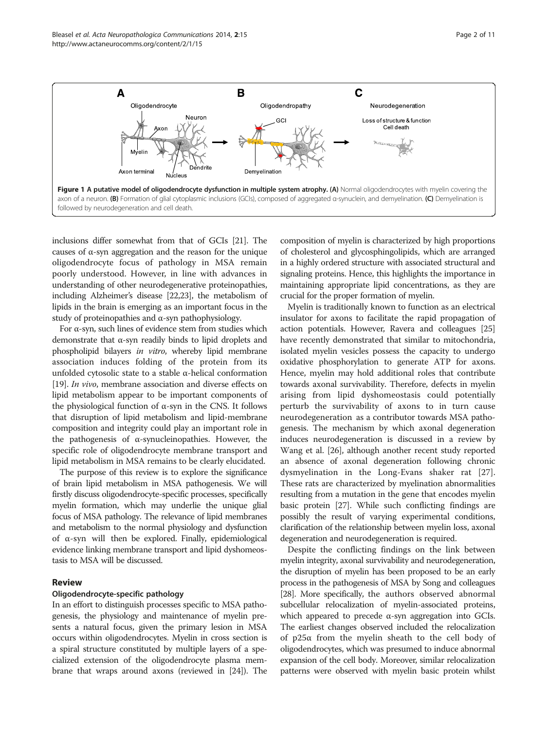<span id="page-1-0"></span>

inclusions differ somewhat from that of GCIs [\[21\]](#page-7-0). The causes of α-syn aggregation and the reason for the unique oligodendrocyte focus of pathology in MSA remain poorly understood. However, in line with advances in understanding of other neurodegenerative proteinopathies, including Alzheimer's disease [\[22,23](#page-7-0)], the metabolism of lipids in the brain is emerging as an important focus in the study of proteinopathies and  $\alpha$ -syn pathophysiology.

For  $\alpha$ -syn, such lines of evidence stem from studies which demonstrate that α-syn readily binds to lipid droplets and phospholipid bilayers in vitro, whereby lipid membrane association induces folding of the protein from its unfolded cytosolic state to a stable α-helical conformation [[19](#page-7-0)]. *In vivo*, membrane association and diverse effects on lipid metabolism appear to be important components of the physiological function of α-syn in the CNS. It follows that disruption of lipid metabolism and lipid-membrane composition and integrity could play an important role in the pathogenesis of α-synucleinopathies. However, the specific role of oligodendrocyte membrane transport and lipid metabolism in MSA remains to be clearly elucidated.

The purpose of this review is to explore the significance of brain lipid metabolism in MSA pathogenesis. We will firstly discuss oligodendrocyte-specific processes, specifically myelin formation, which may underlie the unique glial focus of MSA pathology. The relevance of lipid membranes and metabolism to the normal physiology and dysfunction of α-syn will then be explored. Finally, epidemiological evidence linking membrane transport and lipid dyshomeostasis to MSA will be discussed.

#### Review

#### Oligodendrocyte-specific pathology

In an effort to distinguish processes specific to MSA pathogenesis, the physiology and maintenance of myelin presents a natural focus, given the primary lesion in MSA occurs within oligodendrocytes. Myelin in cross section is a spiral structure constituted by multiple layers of a specialized extension of the oligodendrocyte plasma membrane that wraps around axons (reviewed in [\[24\]](#page-8-0)). The

composition of myelin is characterized by high proportions of cholesterol and glycosphingolipids, which are arranged in a highly ordered structure with associated structural and signaling proteins. Hence, this highlights the importance in maintaining appropriate lipid concentrations, as they are crucial for the proper formation of myelin.

Myelin is traditionally known to function as an electrical insulator for axons to facilitate the rapid propagation of action potentials. However, Ravera and colleagues [[25](#page-8-0)] have recently demonstrated that similar to mitochondria, isolated myelin vesicles possess the capacity to undergo oxidative phosphorylation to generate ATP for axons. Hence, myelin may hold additional roles that contribute towards axonal survivability. Therefore, defects in myelin arising from lipid dyshomeostasis could potentially perturb the survivability of axons to in turn cause neurodegeneration as a contributor towards MSA pathogenesis. The mechanism by which axonal degeneration induces neurodegeneration is discussed in a review by Wang et al. [\[26\]](#page-8-0), although another recent study reported an absence of axonal degeneration following chronic dysmyelination in the Long-Evans shaker rat [\[27](#page-8-0)]. These rats are characterized by myelination abnormalities resulting from a mutation in the gene that encodes myelin basic protein [\[27](#page-8-0)]. While such conflicting findings are possibly the result of varying experimental conditions, clarification of the relationship between myelin loss, axonal degeneration and neurodegeneration is required.

Despite the conflicting findings on the link between myelin integrity, axonal survivability and neurodegeneration, the disruption of myelin has been proposed to be an early process in the pathogenesis of MSA by Song and colleagues [[28](#page-8-0)]. More specifically, the authors observed abnormal subcellular relocalization of myelin-associated proteins, which appeared to precede α-syn aggregation into GCIs. The earliest changes observed included the relocalization of p25α from the myelin sheath to the cell body of oligodendrocytes, which was presumed to induce abnormal expansion of the cell body. Moreover, similar relocalization patterns were observed with myelin basic protein whilst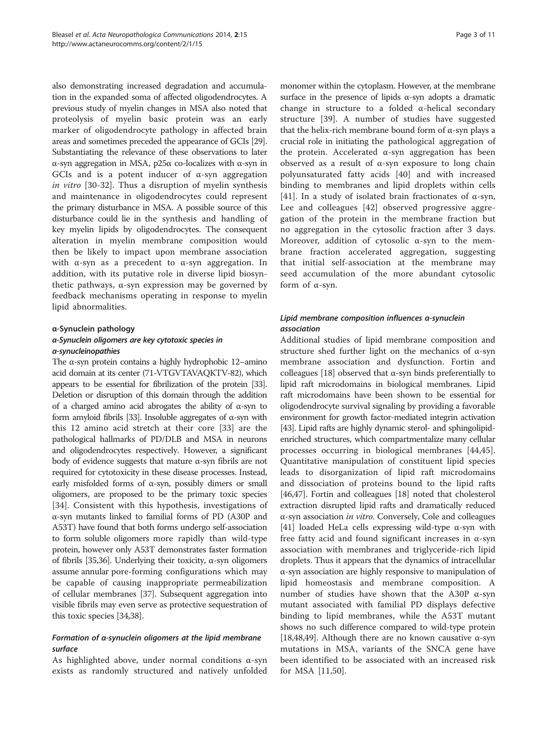also demonstrating increased degradation and accumulation in the expanded soma of affected oligodendrocytes. A previous study of myelin changes in MSA also noted that proteolysis of myelin basic protein was an early marker of oligodendrocyte pathology in affected brain areas and sometimes preceded the appearance of GCIs [\[29](#page-8-0)]. Substantiating the relevance of these observations to later α-syn aggregation in MSA, p25α co-localizes with α-syn in GCIs and is a potent inducer of  $\alpha$ -syn aggregation in vitro [\[30](#page-8-0)-[32](#page-8-0)]. Thus a disruption of myelin synthesis and maintenance in oligodendrocytes could represent the primary disturbance in MSA. A possible source of this disturbance could lie in the synthesis and handling of key myelin lipids by oligodendrocytes. The consequent alteration in myelin membrane composition would then be likely to impact upon membrane association with  $\alpha$ -syn as a precedent to  $\alpha$ -syn aggregation. In addition, with its putative role in diverse lipid biosynthetic pathways, α-syn expression may be governed by feedback mechanisms operating in response to myelin lipid abnormalities.

# α-Synuclein pathology α-Synuclein oligomers are key cytotoxic species in α-synucleinopathies

The α-syn protein contains a highly hydrophobic 12–amino acid domain at its center (71-VTGVTAVAQKTV-82), which appears to be essential for fibrilization of the protein [\[33\]](#page-8-0). Deletion or disruption of this domain through the addition of a charged amino acid abrogates the ability of  $\alpha$ -syn to form amyloid fibrils [\[33](#page-8-0)]. Insoluble aggregates of  $\alpha$ -syn with this 12 amino acid stretch at their core [[33\]](#page-8-0) are the pathological hallmarks of PD/DLB and MSA in neurons and oligodendrocytes respectively. However, a significant body of evidence suggests that mature α-syn fibrils are not required for cytotoxicity in these disease processes. Instead, early misfolded forms of  $\alpha$ -syn, possibly dimers or small oligomers, are proposed to be the primary toxic species [[34\]](#page-8-0). Consistent with this hypothesis, investigations of α-syn mutants linked to familial forms of PD (A30P and A53T) have found that both forms undergo self-association to form soluble oligomers more rapidly than wild-type protein, however only A53T demonstrates faster formation of fibrils [[35,36\]](#page-8-0). Underlying their toxicity, α-syn oligomers assume annular pore-forming configurations which may be capable of causing inappropriate permeabilization of cellular membranes [\[37\]](#page-8-0). Subsequent aggregation into visible fibrils may even serve as protective sequestration of this toxic species [[34,38](#page-8-0)].

# Formation of α-synuclein oligomers at the lipid membrane surface

As highlighted above, under normal conditions α-syn exists as randomly structured and natively unfolded

monomer within the cytoplasm. However, at the membrane surface in the presence of lipids  $\alpha$ -syn adopts a dramatic change in structure to a folded α-helical secondary structure [[39\]](#page-8-0). A number of studies have suggested that the helix-rich membrane bound form of α-syn plays a crucial role in initiating the pathological aggregation of the protein. Accelerated α-syn aggregation has been observed as a result of α-syn exposure to long chain polyunsaturated fatty acids [\[40](#page-8-0)] and with increased binding to membranes and lipid droplets within cells [[41](#page-8-0)]. In a study of isolated brain fractionates of α-syn, Lee and colleagues [[42\]](#page-8-0) observed progressive aggregation of the protein in the membrane fraction but no aggregation in the cytosolic fraction after 3 days. Moreover, addition of cytosolic α-syn to the membrane fraction accelerated aggregation, suggesting that initial self-association at the membrane may seed accumulation of the more abundant cytosolic form of α-syn.

# Lipid membrane composition influences α-synuclein association

Additional studies of lipid membrane composition and structure shed further light on the mechanics of α-syn membrane association and dysfunction. Fortin and colleagues [[18](#page-7-0)] observed that α-syn binds preferentially to lipid raft microdomains in biological membranes. Lipid raft microdomains have been shown to be essential for oligodendrocyte survival signaling by providing a favorable environment for growth factor-mediated integrin activation [[43](#page-8-0)]. Lipid rafts are highly dynamic sterol- and sphingolipidenriched structures, which compartmentalize many cellular processes occurring in biological membranes [[44,45](#page-8-0)]. Quantitative manipulation of constituent lipid species leads to disorganization of lipid raft microdomains and dissociation of proteins bound to the lipid rafts [[46](#page-8-0),[47](#page-8-0)]. Fortin and colleagues [\[18](#page-7-0)] noted that cholesterol extraction disrupted lipid rafts and dramatically reduced α-syn association in vitro. Conversely, Cole and colleagues [[41](#page-8-0)] loaded HeLa cells expressing wild-type α-syn with free fatty acid and found significant increases in α-syn association with membranes and triglyceride-rich lipid droplets. Thus it appears that the dynamics of intracellular α-syn association are highly responsive to manipulation of lipid homeostasis and membrane composition. A number of studies have shown that the A30P α-syn mutant associated with familial PD displays defective binding to lipid membranes, while the A53T mutant shows no such difference compared to wild-type protein [[18](#page-7-0),[48,49\]](#page-8-0). Although there are no known causative  $\alpha$ -syn mutations in MSA, variants of the SNCA gene have been identified to be associated with an increased risk for MSA [[11](#page-7-0)[,50](#page-8-0)].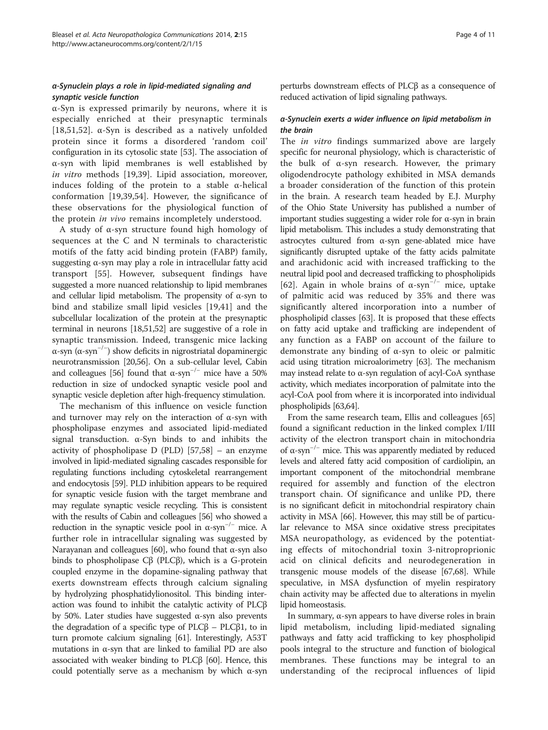### α-Synuclein plays a role in lipid-mediated signaling and synaptic vesicle function

α-Syn is expressed primarily by neurons, where it is especially enriched at their presynaptic terminals [[18](#page-7-0),[51,52](#page-8-0)]. α-Syn is described as a natively unfolded protein since it forms a disordered 'random coil' configuration in its cytosolic state [\[53\]](#page-8-0). The association of α-syn with lipid membranes is well established by in vitro methods [[19,](#page-7-0)[39\]](#page-8-0). Lipid association, moreover, induces folding of the protein to a stable α-helical conformation [[19,](#page-7-0)[39,54](#page-8-0)]. However, the significance of these observations for the physiological function of the protein in vivo remains incompletely understood.

A study of α-syn structure found high homology of sequences at the C and N terminals to characteristic motifs of the fatty acid binding protein (FABP) family, suggesting α-syn may play a role in intracellular fatty acid transport [\[55](#page-8-0)]. However, subsequent findings have suggested a more nuanced relationship to lipid membranes and cellular lipid metabolism. The propensity of  $\alpha$ -syn to bind and stabilize small lipid vesicles [\[19](#page-7-0),[41\]](#page-8-0) and the subcellular localization of the protein at the presynaptic terminal in neurons [[18](#page-7-0)[,51,52\]](#page-8-0) are suggestive of a role in synaptic transmission. Indeed, transgenic mice lacking α-syn (α-syn−/<sup>−</sup> ) show deficits in nigrostriatal dopaminergic neurotransmission [\[20,](#page-7-0)[56](#page-8-0)]. On a sub-cellular level, Cabin and colleagues [\[56\]](#page-8-0) found that  $\alpha$ -syn<sup>-/-</sup> mice have a 50% reduction in size of undocked synaptic vesicle pool and synaptic vesicle depletion after high-frequency stimulation.

The mechanism of this influence on vesicle function and turnover may rely on the interaction of  $\alpha$ -syn with phospholipase enzymes and associated lipid-mediated signal transduction. α-Syn binds to and inhibits the activity of phospholipase D (PLD) [[57,58\]](#page-8-0) – an enzyme involved in lipid-mediated signaling cascades responsible for regulating functions including cytoskeletal rearrangement and endocytosis [[59\]](#page-8-0). PLD inhibition appears to be required for synaptic vesicle fusion with the target membrane and may regulate synaptic vesicle recycling. This is consistent with the results of Cabin and colleagues [\[56](#page-8-0)] who showed a reduction in the synaptic vesicle pool in α-syn<sup>-/-</sup> mice. A further role in intracellular signaling was suggested by Narayanan and colleagues [\[60\]](#page-8-0), who found that α-syn also binds to phospholipase Cβ (PLCβ), which is a G-protein coupled enzyme in the dopamine-signaling pathway that exerts downstream effects through calcium signaling by hydrolyzing phosphatidylionositol. This binding interaction was found to inhibit the catalytic activity of PLCβ by 50%. Later studies have suggested α-syn also prevents the degradation of a specific type of  $PLCβ$  –  $PLCβ1$ , to in turn promote calcium signaling [\[61\]](#page-8-0). Interestingly, A53T mutations in  $\alpha$ -syn that are linked to familial PD are also associated with weaker binding to PLCβ [[60](#page-8-0)]. Hence, this could potentially serve as a mechanism by which α-syn perturbs downstream effects of PLCβ as a consequence of reduced activation of lipid signaling pathways.

### α-Synuclein exerts a wider influence on lipid metabolism in the brain

The *in vitro* findings summarized above are largely specific for neuronal physiology, which is characteristic of the bulk of  $\alpha$ -syn research. However, the primary oligodendrocyte pathology exhibited in MSA demands a broader consideration of the function of this protein in the brain. A research team headed by E.J. Murphy of the Ohio State University has published a number of important studies suggesting a wider role for α-syn in brain lipid metabolism. This includes a study demonstrating that astrocytes cultured from α-syn gene-ablated mice have significantly disrupted uptake of the fatty acids palmitate and arachidonic acid with increased trafficking to the neutral lipid pool and decreased trafficking to phospholipids [[62](#page-8-0)]. Again in whole brains of  $\alpha$ -syn<sup>-/-</sup> mice, uptake of palmitic acid was reduced by 35% and there was significantly altered incorporation into a number of phospholipid classes [\[63\]](#page-8-0). It is proposed that these effects on fatty acid uptake and trafficking are independent of any function as a FABP on account of the failure to demonstrate any binding of α-syn to oleic or palmitic acid using titration microalorimetry [\[63\]](#page-8-0). The mechanism may instead relate to α-syn regulation of acyl-CoA synthase activity, which mediates incorporation of palmitate into the acyl-CoA pool from where it is incorporated into individual phospholipids [\[63,64\]](#page-8-0).

From the same research team, Ellis and colleagues [[65](#page-9-0)] found a significant reduction in the linked complex I/III activity of the electron transport chain in mitochondria of α-syn<sup>-/-</sup> mice. This was apparently mediated by reduced levels and altered fatty acid composition of cardiolipin, an important component of the mitochondrial membrane required for assembly and function of the electron transport chain. Of significance and unlike PD, there is no significant deficit in mitochondrial respiratory chain activity in MSA [\[66\]](#page-9-0). However, this may still be of particular relevance to MSA since oxidative stress precipitates MSA neuropathology, as evidenced by the potentiating effects of mitochondrial toxin 3-nitroproprionic acid on clinical deficits and neurodegeneration in transgenic mouse models of the disease [[67,68](#page-9-0)]. While speculative, in MSA dysfunction of myelin respiratory chain activity may be affected due to alterations in myelin lipid homeostasis.

In summary, α-syn appears to have diverse roles in brain lipid metabolism, including lipid-mediated signaling pathways and fatty acid trafficking to key phospholipid pools integral to the structure and function of biological membranes. These functions may be integral to an understanding of the reciprocal influences of lipid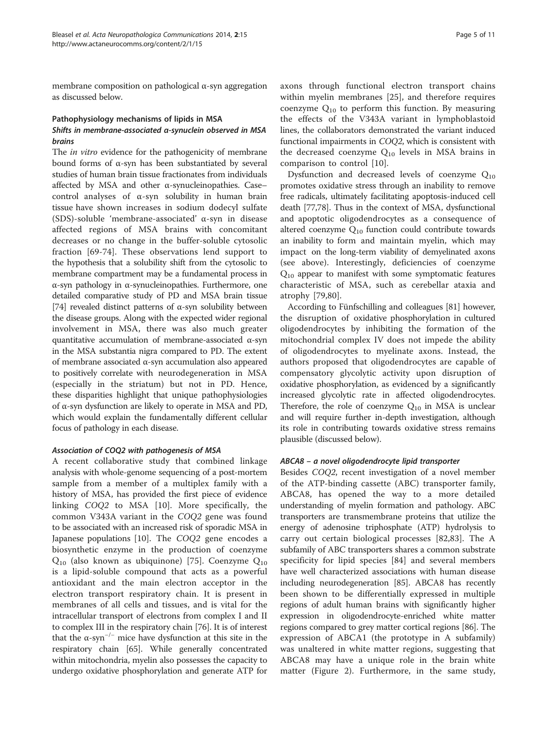membrane composition on pathological α-syn aggregation as discussed below.

## Pathophysiology mechanisms of lipids in MSA Shifts in membrane-associated α-synuclein observed in MSA brains

The *in vitro* evidence for the pathogenicity of membrane bound forms of α-syn has been substantiated by several studies of human brain tissue fractionates from individuals affected by MSA and other α-synucleinopathies. Case– control analyses of α-syn solubility in human brain tissue have shown increases in sodium dodecyl sulfate (SDS)-soluble 'membrane-associated' α-syn in disease affected regions of MSA brains with concomitant decreases or no change in the buffer-soluble cytosolic fraction [[69-74](#page-9-0)]. These observations lend support to the hypothesis that a solubility shift from the cytosolic to membrane compartment may be a fundamental process in α-syn pathology in α-synucleinopathies. Furthermore, one detailed comparative study of PD and MSA brain tissue [[74](#page-9-0)] revealed distinct patterns of  $\alpha$ -syn solubility between the disease groups. Along with the expected wider regional involvement in MSA, there was also much greater quantitative accumulation of membrane-associated α-syn in the MSA substantia nigra compared to PD. The extent of membrane associated α-syn accumulation also appeared to positively correlate with neurodegeneration in MSA (especially in the striatum) but not in PD. Hence, these disparities highlight that unique pathophysiologies of α-syn dysfunction are likely to operate in MSA and PD, which would explain the fundamentally different cellular focus of pathology in each disease.

#### Association of COQ2 with pathogenesis of MSA

A recent collaborative study that combined linkage analysis with whole-genome sequencing of a post-mortem sample from a member of a multiplex family with a history of MSA, has provided the first piece of evidence linking COQ2 to MSA [[10\]](#page-7-0). More specifically, the common V343A variant in the COQ2 gene was found to be associated with an increased risk of sporadic MSA in Japanese populations [[10](#page-7-0)]. The COQ2 gene encodes a biosynthetic enzyme in the production of coenzyme  $Q_{10}$  (also known as ubiquinone) [\[75](#page-9-0)]. Coenzyme  $Q_{10}$ is a lipid-soluble compound that acts as a powerful antioxidant and the main electron acceptor in the electron transport respiratory chain. It is present in membranes of all cells and tissues, and is vital for the intracellular transport of electrons from complex I and II to complex III in the respiratory chain [\[76\]](#page-9-0). It is of interest that the α-syn<sup>-/-</sup> mice have dysfunction at this site in the respiratory chain [\[65\]](#page-9-0). While generally concentrated within mitochondria, myelin also possesses the capacity to undergo oxidative phosphorylation and generate ATP for

axons through functional electron transport chains within myelin membranes [[25\]](#page-8-0), and therefore requires coenzyme  $Q_{10}$  to perform this function. By measuring the effects of the V343A variant in lymphoblastoid lines, the collaborators demonstrated the variant induced functional impairments in COQ2, which is consistent with the decreased coenzyme  $Q_{10}$  levels in MSA brains in comparison to control [[10](#page-7-0)].

Dysfunction and decreased levels of coenzyme  $Q_{10}$ promotes oxidative stress through an inability to remove free radicals, ultimately facilitating apoptosis-induced cell death [\[77,78\]](#page-9-0). Thus in the context of MSA, dysfunctional and apoptotic oligodendrocytes as a consequence of altered coenzyme  $Q_{10}$  function could contribute towards an inability to form and maintain myelin, which may impact on the long-term viability of demyelinated axons (see above). Interestingly, deficiencies of coenzyme  $Q_{10}$  appear to manifest with some symptomatic features characteristic of MSA, such as cerebellar ataxia and atrophy [[79,80](#page-9-0)].

According to Fünfschilling and colleagues [[81](#page-9-0)] however, the disruption of oxidative phosphorylation in cultured oligodendrocytes by inhibiting the formation of the mitochondrial complex IV does not impede the ability of oligodendrocytes to myelinate axons. Instead, the authors proposed that oligodendrocytes are capable of compensatory glycolytic activity upon disruption of oxidative phosphorylation, as evidenced by a significantly increased glycolytic rate in affected oligodendrocytes. Therefore, the role of coenzyme  $Q_{10}$  in MSA is unclear and will require further in-depth investigation, although its role in contributing towards oxidative stress remains plausible (discussed below).

# ABCA8 – a novel oligodendrocyte lipid transporter

Besides COQ2, recent investigation of a novel member of the ATP-binding cassette (ABC) transporter family, ABCA8, has opened the way to a more detailed understanding of myelin formation and pathology. ABC transporters are transmembrane proteins that utilize the energy of adenosine triphosphate (ATP) hydrolysis to carry out certain biological processes [[82,83](#page-9-0)]. The A subfamily of ABC transporters shares a common substrate specificity for lipid species [[84\]](#page-9-0) and several members have well characterized associations with human disease including neurodegeneration [\[85\]](#page-9-0). ABCA8 has recently been shown to be differentially expressed in multiple regions of adult human brains with significantly higher expression in oligodendrocyte-enriched white matter regions compared to grey matter cortical regions [\[86\]](#page-9-0). The expression of ABCA1 (the prototype in A subfamily) was unaltered in white matter regions, suggesting that ABCA8 may have a unique role in the brain white matter (Figure [2](#page-5-0)). Furthermore, in the same study,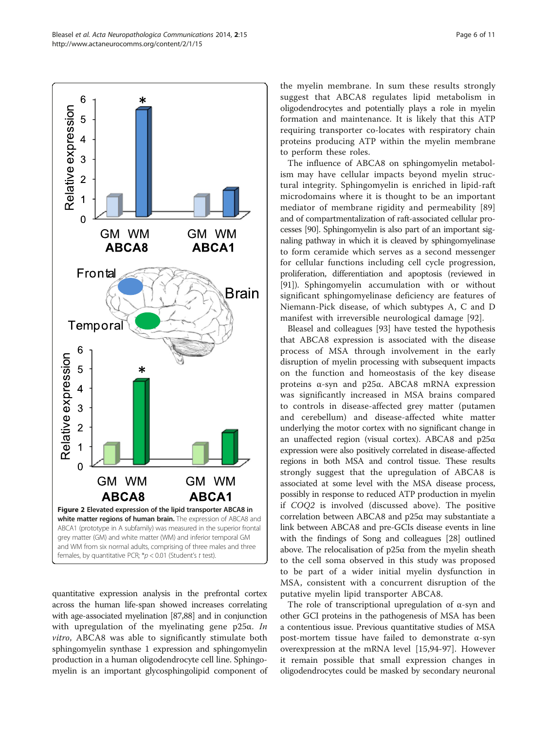<span id="page-5-0"></span>

quantitative expression analysis in the prefrontal cortex across the human life-span showed increases correlating with age-associated myelination [\[87,88](#page-9-0)] and in conjunction with upregulation of the myelinating gene  $p25\alpha$ . In vitro, ABCA8 was able to significantly stimulate both sphingomyelin synthase 1 expression and sphingomyelin production in a human oligodendrocyte cell line. Sphingomyelin is an important glycosphingolipid component of

the myelin membrane. In sum these results strongly suggest that ABCA8 regulates lipid metabolism in oligodendrocytes and potentially plays a role in myelin formation and maintenance. It is likely that this ATP requiring transporter co-locates with respiratory chain proteins producing ATP within the myelin membrane to perform these roles.

The influence of ABCA8 on sphingomyelin metabolism may have cellular impacts beyond myelin structural integrity. Sphingomyelin is enriched in lipid-raft microdomains where it is thought to be an important mediator of membrane rigidity and permeability [\[89](#page-9-0)] and of compartmentalization of raft-associated cellular processes [\[90\]](#page-9-0). Sphingomyelin is also part of an important signaling pathway in which it is cleaved by sphingomyelinase to form ceramide which serves as a second messenger for cellular functions including cell cycle progression, proliferation, differentiation and apoptosis (reviewed in [[91](#page-9-0)]). Sphingomyelin accumulation with or without significant sphingomyelinase deficiency are features of Niemann-Pick disease, of which subtypes A, C and D manifest with irreversible neurological damage [[92\]](#page-9-0).

Bleasel and colleagues [[93\]](#page-9-0) have tested the hypothesis that ABCA8 expression is associated with the disease process of MSA through involvement in the early disruption of myelin processing with subsequent impacts on the function and homeostasis of the key disease proteins α-syn and p25α. ABCA8 mRNA expression was significantly increased in MSA brains compared to controls in disease-affected grey matter (putamen and cerebellum) and disease-affected white matter underlying the motor cortex with no significant change in an unaffected region (visual cortex). ABCA8 and p25α expression were also positively correlated in disease-affected regions in both MSA and control tissue. These results strongly suggest that the upregulation of ABCA8 is associated at some level with the MSA disease process, possibly in response to reduced ATP production in myelin if COQ2 is involved (discussed above). The positive correlation between ABCA8 and p25α may substantiate a link between ABCA8 and pre-GCIs disease events in line with the findings of Song and colleagues [[28](#page-8-0)] outlined above. The relocalisation of  $p25α$  from the myelin sheath to the cell soma observed in this study was proposed to be part of a wider initial myelin dysfunction in MSA, consistent with a concurrent disruption of the putative myelin lipid transporter ABCA8.

The role of transcriptional upregulation of  $\alpha$ -syn and other GCI proteins in the pathogenesis of MSA has been a contentious issue. Previous quantitative studies of MSA post-mortem tissue have failed to demonstrate α-syn overexpression at the mRNA level [[15](#page-7-0)[,94](#page-9-0)-[97\]](#page-9-0). However it remain possible that small expression changes in oligodendrocytes could be masked by secondary neuronal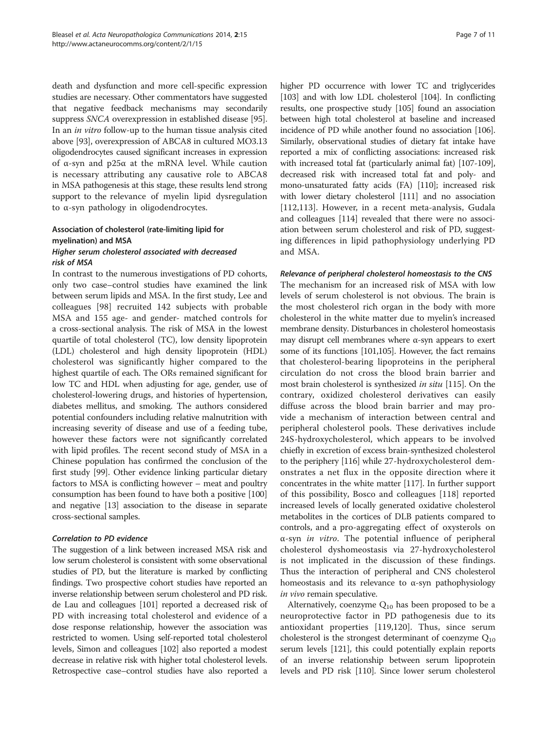death and dysfunction and more cell-specific expression studies are necessary. Other commentators have suggested that negative feedback mechanisms may secondarily suppress SNCA overexpression in established disease [[95](#page-9-0)]. In an in vitro follow-up to the human tissue analysis cited above [[93](#page-9-0)], overexpression of ABCA8 in cultured MO3.13 oligodendrocytes caused significant increases in expression of α-syn and p25α at the mRNA level. While caution is necessary attributing any causative role to ABCA8 in MSA pathogenesis at this stage, these results lend strong support to the relevance of myelin lipid dysregulation to α-syn pathology in oligodendrocytes.

# Association of cholesterol (rate-limiting lipid for myelination) and MSA

# Higher serum cholesterol associated with decreased risk of MSA

In contrast to the numerous investigations of PD cohorts, only two case–control studies have examined the link between serum lipids and MSA. In the first study, Lee and colleagues [\[98](#page-9-0)] recruited 142 subjects with probable MSA and 155 age- and gender- matched controls for a cross-sectional analysis. The risk of MSA in the lowest quartile of total cholesterol (TC), low density lipoprotein (LDL) cholesterol and high density lipoprotein (HDL) cholesterol was significantly higher compared to the highest quartile of each. The ORs remained significant for low TC and HDL when adjusting for age, gender, use of cholesterol-lowering drugs, and histories of hypertension, diabetes mellitus, and smoking. The authors considered potential confounders including relative malnutrition with increasing severity of disease and use of a feeding tube, however these factors were not significantly correlated with lipid profiles. The recent second study of MSA in a Chinese population has confirmed the conclusion of the first study [[99](#page-9-0)]. Other evidence linking particular dietary factors to MSA is conflicting however – meat and poultry consumption has been found to have both a positive [\[100](#page-9-0)] and negative [[13](#page-7-0)] association to the disease in separate cross-sectional samples.

#### Correlation to PD evidence

The suggestion of a link between increased MSA risk and low serum cholesterol is consistent with some observational studies of PD, but the literature is marked by conflicting findings. Two prospective cohort studies have reported an inverse relationship between serum cholesterol and PD risk. de Lau and colleagues [[101\]](#page-9-0) reported a decreased risk of PD with increasing total cholesterol and evidence of a dose response relationship, however the association was restricted to women. Using self-reported total cholesterol levels, Simon and colleagues [\[102\]](#page-9-0) also reported a modest decrease in relative risk with higher total cholesterol levels. Retrospective case–control studies have also reported a higher PD occurrence with lower TC and triglycerides [[103](#page-9-0)] and with low LDL cholesterol [[104\]](#page-9-0). In conflicting results, one prospective study [[105](#page-9-0)] found an association between high total cholesterol at baseline and increased incidence of PD while another found no association [\[106](#page-10-0)]. Similarly, observational studies of dietary fat intake have reported a mix of conflicting associations: increased risk with increased total fat (particularly animal fat) [\[107-109](#page-10-0)], decreased risk with increased total fat and poly- and mono-unsaturated fatty acids (FA) [\[110](#page-10-0)]; increased risk with lower dietary cholesterol [\[111\]](#page-10-0) and no association [[112,113](#page-10-0)]. However, in a recent meta-analysis, Gudala and colleagues [\[114\]](#page-10-0) revealed that there were no association between serum cholesterol and risk of PD, suggesting differences in lipid pathophysiology underlying PD and MSA.

Relevance of peripheral cholesterol homeostasis to the CNS The mechanism for an increased risk of MSA with low levels of serum cholesterol is not obvious. The brain is the most cholesterol rich organ in the body with more cholesterol in the white matter due to myelin's increased membrane density. Disturbances in cholesterol homeostasis may disrupt cell membranes where α-syn appears to exert some of its functions [\[101,105\]](#page-9-0). However, the fact remains that cholesterol-bearing lipoproteins in the peripheral circulation do not cross the blood brain barrier and most brain cholesterol is synthesized in situ [\[115\]](#page-10-0). On the contrary, oxidized cholesterol derivatives can easily diffuse across the blood brain barrier and may provide a mechanism of interaction between central and peripheral cholesterol pools. These derivatives include 24S-hydroxycholesterol, which appears to be involved chiefly in excretion of excess brain-synthesized cholesterol to the periphery [\[116](#page-10-0)] while 27-hydroxycholesterol demonstrates a net flux in the opposite direction where it concentrates in the white matter [[117](#page-10-0)]. In further support of this possibility, Bosco and colleagues [[118\]](#page-10-0) reported increased levels of locally generated oxidative cholesterol metabolites in the cortices of DLB patients compared to controls, and a pro-aggregating effect of oxysterols on α-syn in vitro. The potential influence of peripheral cholesterol dyshomeostasis via 27-hydroxycholesterol is not implicated in the discussion of these findings. Thus the interaction of peripheral and CNS cholesterol homeostasis and its relevance to α-syn pathophysiology in vivo remain speculative.

Alternatively, coenzyme  $Q_{10}$  has been proposed to be a neuroprotective factor in PD pathogenesis due to its antioxidant properties [[119,120\]](#page-10-0). Thus, since serum cholesterol is the strongest determinant of coenzyme  $Q_{10}$ serum levels [[121](#page-10-0)], this could potentially explain reports of an inverse relationship between serum lipoprotein levels and PD risk [\[110\]](#page-10-0). Since lower serum cholesterol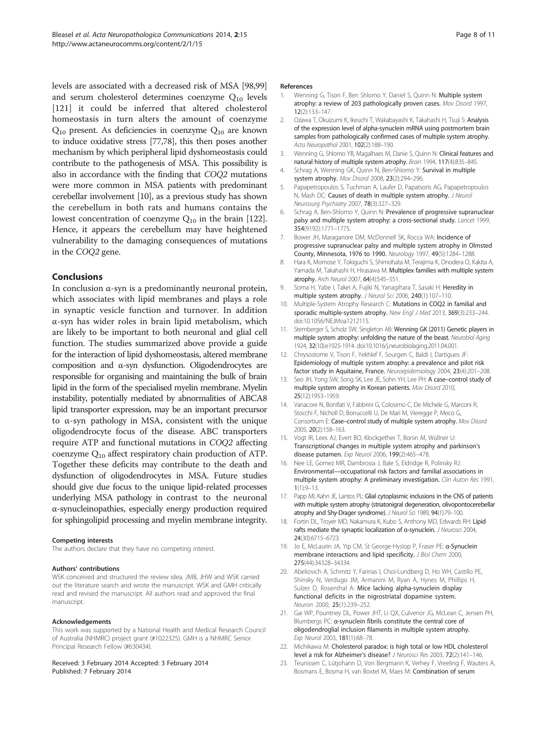<span id="page-7-0"></span>levels are associated with a decreased risk of MSA [\[98,99](#page-9-0)] and serum cholesterol determines coenzyme  $Q_{10}$  levels [[121\]](#page-10-0) it could be inferred that altered cholesterol homeostasis in turn alters the amount of coenzyme  $Q_{10}$  present. As deficiencies in coenzyme  $Q_{10}$  are known to induce oxidative stress [[77,78\]](#page-9-0), this then poses another mechanism by which peripheral lipid dyshomeostasis could contribute to the pathogenesis of MSA. This possibility is also in accordance with the finding that COQ2 mutations were more common in MSA patients with predominant cerebellar involvement [10], as a previous study has shown the cerebellum in both rats and humans contains the lowest concentration of coenzyme  $O<sub>10</sub>$  in the brain [[122](#page-10-0)]. Hence, it appears the cerebellum may have heightened vulnerability to the damaging consequences of mutations in the COQ2 gene.

#### Conclusions

In conclusion α-syn is a predominantly neuronal protein, which associates with lipid membranes and plays a role in synaptic vesicle function and turnover. In addition α-syn has wider roles in brain lipid metabolism, which are likely to be important to both neuronal and glial cell function. The studies summarized above provide a guide for the interaction of lipid dyshomeostasis, altered membrane composition and α-syn dysfunction. Oligodendrocytes are responsible for organising and maintaining the bulk of brain lipid in the form of the specialised myelin membrane. Myelin instability, potentially mediated by abnormalities of ABCA8 lipid transporter expression, may be an important precursor to α-syn pathology in MSA, consistent with the unique oligodendrocyte focus of the disease. ABC transporters require ATP and functional mutations in COQ2 affecting coenzyme  $Q_{10}$  affect respiratory chain production of ATP. Together these deficits may contribute to the death and dysfunction of oligodendrocytes in MSA. Future studies should give due focus to the unique lipid-related processes underlying MSA pathology in contrast to the neuronal α-synucleinopathies, especially energy production required for sphingolipid processing and myelin membrane integrity.

#### Competing interests

The authors declare that they have no competing interest.

#### Authors' contributions

WSK conceived and structured the review idea. JMB, JHW and WSK carried out the literature search and wrote the manuscript. WSK and GMH critically read and revised the manuscript. All authors read and approved the final manuscript.

#### Acknowledgements

This work was supported by a National Health and Medical Research Council of Australia (NHMRC) project grant (#1022325). GMH is a NHMRC Senior Principal Research Fellow (#630434).

#### Received: 3 February 2014 Accepted: 3 February 2014 Published: 7 February 2014

#### References

- Wenning G, Tison F, Ben Shlomo Y, Daniel S, Quinn N: Multiple system atrophy: a review of 203 pathologically proven cases. Mov Disord 1997, 12(2):133–147.
- 2. Ozawa T, Okuizumi K, Ikeuchi T, Wakabayashi K, Takahashi H, Tsuji S: Analysis of the expression level of alpha-synuclein mRNA using postmortem brain samples from pathologically confirmed cases of multiple system atrophy. Acta Neuropathol 2001, 102(2):188-190.
- 3. Wenning G, Shlomo YB, Magalhaes M, Danie S, Quinn N: Clinical features and natural history of multiple system atrophy. Brain 1994, 117(4):835–845.
- 4. Schrag A, Wenning GK, Quinn N, Ben-Shlomo Y: Survival in multiple system atrophy. Mov Disord 2008, 23(2):294–296.
- 5. Papapetropoulos S, Tuchman A, Laufer D, Papatsoris AG, Papapetropoulos N, Mash DC: Causes of death in multiple system atrophy. J Neurol Neurosurg Psychiatry 2007, 78(3):327–329.
- 6. Schrag A, Ben-Shlomo Y, Quinn N: Prevalence of progressive supranuclear palsy and multiple system atrophy: a cross-sectional study. Lancet 1999, 354(9192):1771–1775.
- Bower JH, Maraganore DM, McDonnell SK, Rocca WA: Incidence of progressive supranuclear palsy and multiple system atrophy in Olmsted County, Minnesota, 1976 to 1990. Neurology 1997, 49(5):1284–1288.
- 8. Hara K, Momose Y, Tokiguchi S, Shimohata M, Terajima K, Onodera O, Kakita A, Yamada M, Takahashi H, Hirasawa M: Multiplex families with multiple system atrophy. Arch Neurol 2007, 64(4):545–551.
- 9. Soma H, Yabe I, Takei A, Fujiki N, Yanagihara T, Sasaki H: Heredity in multiple system atrophy. J Neurol Sci 2006, 240(1):107–110.
- 10. Multiple-System Atrophy Research C: Mutations in COQ2 in familial and sporadic multiple-system atrophy. New Engl J Med 2013, 369(3):233–244. doi:10.1056/NEJMoa1212115.
- 11. Stemberger S, Scholz SW, Singleton AB: Wenning GK (2011) Genetic players in multiple system atrophy: unfolding the nature of the beast. Neurobiol Aging 1924, 32(10):e1925-1914. doi:10.1016/j.neurobiolaging.2011.04.001.
- 12. Chrysostome V, Tison F, Yekhlef F, Sourgen C, Baldi I, Dartigues JF: Epidemiology of multiple system atrophy: a prevalence and pilot risk factor study in Aquitaine, France. Neuroepidemiology 2004, 23(4):201–208.
- 13. Seo JH, Yong SW, Song SK, Lee JE, Sohn YH, Lee PH: A case-control study of multiple system atrophy in Korean patients. Mov Disord 2010, 25(12):1953–1959.
- 14. Vanacore N, Bonifati V, Fabbrini G, Colosimo C, De Michele G, Marconi R, Stocchi F, Nicholl D, Bonuccelli U, De Mari M, Vieregge P, Meco G, Consortium E: Case–control study of multiple system atrophy. Mov Disord 2005, 20(2):158–163.
- 15. Vogt IR, Lees AJ, Evert BO, Klockgether T, Bonin M, Wüllner U: Transcriptional changes in multiple system atrophy and parkinson's disease putamen. Exp Neurol 2006, 199(2):465–478.
- 16. Nee LE, Gomez MR, Dambrosia J, Bale S, Eldridge R, Polinsky RJ: Environmental—occupational risk factors and familial associations in multiple system atrophy: A preliminary investigation. Clin Auton Res 1991, 1(1):9–13.
- 17. Papp MI, Kahn JE, Lantos PL: Glial cytoplasmic inclusions in the CNS of patients with multiple system atrophy (striatonigral degeneration, olivopontocerebellar atrophy and Shy-Drager syndrome). J Neurol Sci 1989, 94(1):79-100.
- 18. Fortin DL, Troyer MD, Nakamura K, Kubo S, Anthony MD, Edwards RH: Lipid rafts mediate the synaptic localization of α-synuclein. J Neurosci 2004, 24(30):6715–6723.
- 19. Jo E, McLaurin JA, Yip CM, St George-Hyslop P, Fraser PE: α-Synuclein membrane interactions and lipid specificity. J Biol Chem 2000, 275(44):34328–34334.
- 20. Abeliovich A, Schmitz Y, Farinas I, Choi-Lundberg D, Ho WH, Castillo PE, Shinsky N, Verdugo JM, Armanini M, Ryan A, Hynes M, Phillips H, Sulzer D, Rosenthal A: Mice lacking alpha-synuclein display functional deficits in the nigrostriatal dopamine system. Neuron 2000, 25(1):239–252.
- 21. Gai WP, Pountney DL, Power JHT, Li QX, Culvenor JG, McLean C, Jensen PH, Blumbergs PC: α-synuclein fibrils constitute the central core of oligodendroglial inclusion filaments in multiple system atrophy. Exp Neurol 2003, 181(1):68–78.
- 22. Michikawa M: Cholesterol paradox: is high total or low HDL cholesterol level a risk for Alzheimer's disease? J Neurosci Res 2003, 72(2):141–146.
- 23. Teunissen C, Lütjohann D, Von Bergmann K, Verhey F, Vreeling F, Wauters A, Bosmans E, Bosma H, van Boxtel M, Maes M: Combination of serum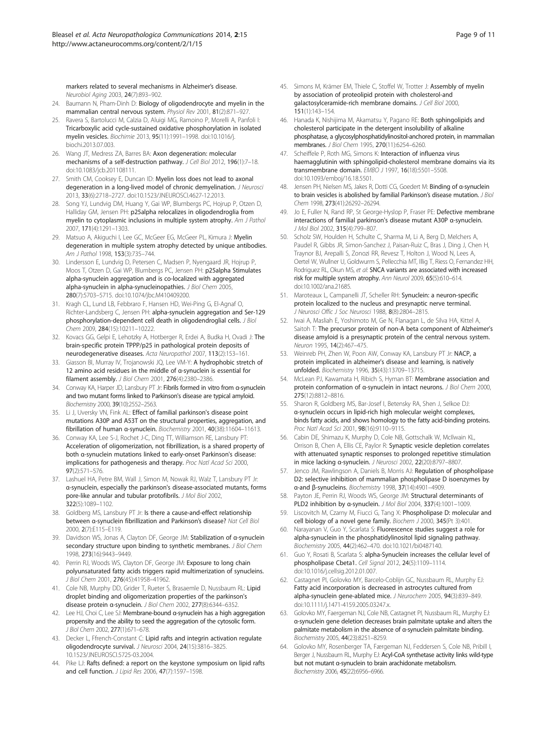<span id="page-8-0"></span>markers related to several mechanisms in Alzheimer's disease. Neurobiol Aging 2003, 24(7):893–902.

- 24. Baumann N, Pham-Dinh D: Biology of oligodendrocyte and myelin in the mammalian central nervous system. Physiol Rev 2001, 81(2):871–927.
- 25. Ravera S, Bartolucci M, Calzia D, Aluigi MG, Ramoino P, Morelli A, Panfoli I: Tricarboxylic acid cycle-sustained oxidative phosphorylation in isolated myelin vesicles. Biochimie 2013, 95(11):1991–1998. doi:10.1016/j. biochi.2013.07.003.
- 26. Wang JT, Medress ZA, Barres BA: Axon degeneration: molecular mechanisms of a self-destruction pathway. J Cell Biol 2012, 196(1):7-18. doi:10.1083/jcb.201108111.
- 27. Smith CM, Cooksey E, Duncan ID: Myelin loss does not lead to axonal degeneration in a long-lived model of chronic demyelination. J Neurosci 2013, 33(6):2718–2727. doi:10.1523/JNEUROSCI.4627-12.2013.
- 28. Song YJ, Lundvig DM, Huang Y, Gai WP, Blumbergs PC, Hojrup P, Otzen D, Halliday GM, Jensen PH: p25alpha relocalizes in oligodendroglia from myelin to cytoplasmic inclusions in multiple system atrophy. Am J Pathol 2007, 171(4):1291–1303.
- 29. Matsuo A, Akiguchi I, Lee GC, McGeer EG, McGeer PL, Kimura J: Myelin degeneration in multiple system atrophy detected by unique antibodies. Am J Pathol 1998, 153(3):735–744.
- 30. Lindersson E, Lundvig D, Petersen C, Madsen P, Nyengaard JR, Hojrup P, Moos T, Otzen D, Gai WP, Blumbergs PC, Jensen PH: p25alpha Stimulates alpha-synuclein aggregation and is co-localized with aggregated alpha-synuclein in alpha-synucleinopathies. J Biol Chem 2005, 280(7):5703–5715. doi:10.1074/jbc.M410409200.
- 31. Kragh CL, Lund LB, Febbraro F, Hansen HD, Wei-Ping G, El-Agnaf O, Richter-Landsberg C, Jensen PH: alpha-synuclein aggregation and Ser-129 phosphorylation-dependent cell death in oligodendroglial cells. J Biol Chem 2009, 284(15):10211–10222.
- 32. Kovacs GG, Gelpi E, Lehotzky A, Hotberger R, Erdei A, Budka H, Ovadi J: The brain-specific protein TPPP/p25 in pathological protein deposits of neurodegenerative diseases. Acta Neuropathol 2007, 113(2):153–161.
- 33. Giasson BI, Murray IV, Trojanowski JQ, Lee VM-Y: A hydrophobic stretch of 12 amino acid residues in the middle of α-synuclein is essential for filament assembly. J Biol Chem 2001, 276(4):2380–2386.
- 34. Conway KA, Harper JD, Lansbury PT Jr: Fibrils formed in vitro from a-synuclein and two mutant forms linked to Parkinson's disease are typical amyloid. Biochemistry 2000, 39(10):2552–2563.
- 35. Li J, Uversky VN, Fink AL: Effect of familial parkinson's disease point mutations A30P and A53T on the structural properties, aggregation, and fibrillation of human α-synuclein. Biochemistry 2001, 40(38):11604–11613.
- 36. Conway KA, Lee S-J, Rochet J-C, Ding TT, Williamson RE, Lansbury PT: Acceleration of oligomerization, not fibrillization, is a shared property of both α-synuclein mutations linked to early-onset Parkinson's disease: implications for pathogenesis and therapy. Proc Natl Acad Sci 2000, 97(2):571–576.
- 37. Lashuel HA, Petre BM, Wall J, Simon M, Nowak RJ, Walz T, Lansbury PT Jr: α-synuclein, especially the parkinson's disease-associated mutants, forms pore-like annular and tubular protofibrils. J Mol Biol 2002, 322(5):1089–1102.
- 38. Goldberg MS, Lansbury PT Jr: Is there a cause-and-effect relationship between α-synuclein fibrillization and Parkinson's disease? Nat Cell Biol 2000, 2(7):E115–E119.
- 39. Davidson WS, Jonas A, Clayton DF, George JM: Stabilization of α-synuclein secondary structure upon binding to synthetic membranes. J Biol Chem 1998, 273(16):9443–9449.
- 40. Perrin RJ, Woods WS, Clayton DF, George JM: Exposure to long chain polyunsaturated fatty acids triggers rapid multimerization of synucleins. J Biol Chem 2001, 276(45):41958–41962.
- 41. Cole NB, Murphy DD, Grider T, Rueter S, Brasaemle D, Nussbaum RL: Lipid droplet binding and oligomerization properties of the parkinson's disease protein α-synuclein. J Biol Chem 2002, 277(8):6344–6352.
- 42. Lee HJ, Choi C, Lee SJ: Membrane-bound α-synuclein has a high aggregation propensity and the ability to seed the aggregation of the cytosolic form. J Biol Chem 2002, 277(1):671–678.
- 43. Decker L, Ffrench-Constant C: Lipid rafts and integrin activation regulate oligodendrocyte survival. J Neurosci 2004, 24(15):3816–3825. 10.1523/JNEUROSCI.5725-03.2004.
- 44. Pike LI: Rafts defined: a report on the keystone symposium on lipid rafts and cell function. J Lipid Res 2006, 47(7):1597–1598.
- 45. Simons M, Krämer EM, Thiele C, Stoffel W, Trotter J: Assembly of myelin by association of proteolipid protein with cholesterol-and galactosylceramide-rich membrane domains. J Cell Biol 2000, 151(1):143–154.
- 46. Hanada K, Nishijima M, Akamatsu Y, Pagano RE: Both sphingolipids and cholesterol participate in the detergent insolubility of alkaline phosphatase, a glycosylphosphatidylinositol-anchored protein, in mammalian membranes. J Biol Chem 1995, 270(11):6254-6260.
- 47. Scheiffele P, Roth MG, Simons K: Interaction of influenza virus haemagglutinin with sphingolipid-cholesterol membrane domains via its transmembrane domain. EMBO J 1997, 16(18):5501–5508. doi:10.1093/emboj/16.18.5501.
- 48. Jensen PH, Nielsen MS, Jakes R, Dotti CG, Goedert M: Binding of α-synuclein to brain vesicles is abolished by familial Parkinson's disease mutation. J Biol Chem 1998, 273(41):26292–26294.
- 49. Jo E, Fuller N, Rand RP, St George-Hyslop P, Fraser PE: Defective membrane interactions of familial parkinson's disease mutant A30P α-synuclein. J Mol Biol 2002, 315(4):799–807.
- 50. Scholz SW, Houlden H, Schulte C, Sharma M, Li A, Berg D, Melchers A, Paudel R, Gibbs JR, Simon-Sanchez J, Paisan-Ruiz C, Bras J, Ding J, Chen H, Traynor BJ, Arepalli S, Zonozi RR, Revesz T, Holton J, Wood N, Lees A, Oertel W, Wullner U, Goldwurm S, Pellecchia MT, Illig T, Riess O, Fernandez HH, Rodriguez RL, Okun MS, et al: SNCA variants are associated with increased risk for multiple system atrophy. Ann Neurol 2009, 65(5):610–614. doi:10.1002/ana.21685.
- 51. Maroteaux L, Campanelli JT, Scheller RH: Synuclein: a neuron-specific protein localized to the nucleus and presynaptic nerve terminal. J Neurosci Offic J Soc Neurosci 1988, 8(8):2804-2815.
- 52. Iwai A, Masliah E, Yoshimoto M, Ge N, Flanagan L, de Silva HA, Kittel A, Saitoh T: The precursor protein of non-A beta component of Alzheimer's disease amyloid is a presynaptic protein of the central nervous system. Neuron 1995, 14(2):467-475.
- 53. Weinreb PH, Zhen W, Poon AW, Conway KA, Lansbury PT Jr: NACP, a protein implicated in alzheimer's disease and learning, is natively unfolded. Biochemistry 1996, 35(43):13709–13715.
- 54. McLean PJ, Kawamata H, Ribich S, Hyman BT: Membrane association and protein conformation of α-synuclein in intact neurons. J Biol Chem 2000, 275(12):8812–8816.
- 55. Sharon R, Goldberg MS, Bar-Josef I, Betensky RA, Shen J, Selkoe DJ: α-synuclein occurs in lipid-rich high molecular weight complexes, binds fatty acids, and shows homology to the fatty acid-binding proteins. Proc Natl Acad Sci 2001, 98(16):9110–9115.
- 56. Cabin DE, Shimazu K, Murphy D, Cole NB, Gottschalk W, McIlwain KL, Orrison B, Chen A, Ellis CE, Paylor R: Synaptic vesicle depletion correlates with attenuated synaptic responses to prolonged repetitive stimulation in mice lacking α-synuclein. J Neurosci 2002, 22(20):8797-8807
- 57. Jenco JM, Rawlingson A, Daniels B, Morris AJ: Regulation of phospholipase D2: selective inhibition of mammalian phospholipase D isoenzymes by α-and β-synucleins. Biochemistry 1998, 37(14):4901–4909.
- 58. Payton JE, Perrin RJ, Woods WS, George JM: Structural determinants of PLD2 inhibition by α-synuclein. J Mol Biol 2004, 337(4):1001–1009.
- 59. Liscovitch M, Czarny M, Fiucci G, Tang X: Phospholipase D: molecular and cell biology of a novel gene family. Biochem J 2000, 345(Pt 3):401.
- 60. Narayanan V, Guo Y, Scarlata S: Fluorescence studies suggest a role for alpha-synuclein in the phosphatidylinositol lipid signaling pathway. Biochemistry 2005, 44(2):462–470. doi:10.1021/bi0487140.
- 61. Guo Y, Rosati B, Scarlata S: alpha-Synuclein increases the cellular level of phospholipase Cbeta1. Cell Signal 2012, 24(5):1109–1114. doi:10.1016/j.cellsig.2012.01.007.
- 62. Castagnet PI, Golovko MY, Barcelo-Coblijn GC, Nussbaum RL, Murphy EJ: Fatty acid incorporation is decreased in astrocytes cultured from alpha-synuclein gene-ablated mice. J Neurochem 2005, 94(3):839–849. doi:10.1111/j.1471-4159.2005.03247.x.
- 63. Golovko MY, Faergeman NJ, Cole NB, Castagnet PI, Nussbaum RL, Murphy EJ: α-synuclein gene deletion decreases brain palmitate uptake and alters the palmitate metabolism in the absence of α-synuclein palmitate binding. Biochemistry 2005, 44(23):8251–8259.
- 64. Golovko MY, Rosenberger TA, Færgeman NJ, Feddersen S, Cole NB, Pribill I, Berger J, Nussbaum RL, Murphy EJ: Acyl-CoA synthetase activity links wild-type but not mutant α-synuclein to brain arachidonate metabolism. Biochemistry 2006, 45(22):6956–6966.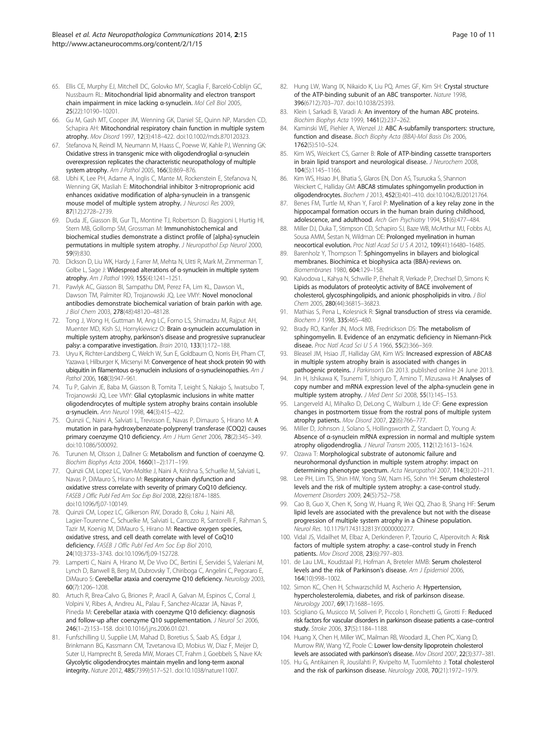- <span id="page-9-0"></span>65. Ellis CE, Murphy EJ, Mitchell DC, Golovko MY, Scaglia F, Barceló-Coblijn GC, Nussbaum RL: Mitochondrial lipid abnormality and electron transport chain impairment in mice lacking α-synuclein. Mol Cell Biol 2005, 25(22):10190–10201.
- 66. Gu M, Gash MT, Cooper JM, Wenning GK, Daniel SE, Quinn NP, Marsden CD, Schapira AH: Mitochondrial respiratory chain function in multiple system atrophy. Mov Disord 1997, 12(3):418–422. doi:10.1002/mds.870120323.
- 67. Stefanova N, Reindl M, Neumann M, Haass C, Poewe W, Kahle PJ, Wenning GK: Oxidative stress in transgenic mice with oligodendroglial α-synuclein overexpression replicates the characteristic neuropathology of multiple system atrophy. Am J Pathol 2005, 166(3):869-876.
- 68. Ubhi K, Lee PH, Adame A, Inglis C, Mante M, Rockenstein E, Stefanova N, Wenning GK, Masliah E: Mitochondrial inhibitor 3-nitroproprionic acid enhances oxidative modification of alpha‐synuclein in a transgenic mouse model of multiple system atrophy. J Neurosci Res 2009, 87(12):2728–2739.
- 69. Duda JE, Giasson BI, Gur TL, Montine TJ, Robertson D, Biaggioni I, Hurtig HI, Stern MB, Gollomp SM, Grossman M: Immunohistochemical and biochemical studies demonstrate a distinct profile of [alpha]-synuclein permutations in multiple system atrophy. J Neuropathol Exp Neurol 2000, 59(9):830.
- 70. Dickson D, Liu WK, Hardy J, Farrer M, Mehta N, Uitti R, Mark M, Zimmerman T, Golbe L, Sage J: Widespread alterations of α-synuclein in multiple system atrophy. Am J Pathol 1999, 155(4):1241–1251.
- 71. Pawlyk AC, Giasson BI, Sampathu DM, Perez FA, Lim KL, Dawson VL, Dawson TM, Palmiter RD, Trojanowski JQ, Lee VMY: Novel monoclonal antibodies demonstrate biochemical variation of brain parkin with age. J Biol Chem 2003, 278(48):48120–48128.
- 72. Tong J, Wong H, Guttman M, Ang LC, Forno LS, Shimadzu M, Rajput AH, Muenter MD, Kish SJ, Hornykiewicz O: Brain α-synuclein accumulation in multiple system atrophy, parkinson's disease and progressive supranuclear palsy: a comparative investigation. Brain 2010, 133(1):172-188.
- 73. Uryu K, Richter-Landsberg C, Welch W, Sun E, Goldbaum O, Norris EH, Pham CT, Yazawa I, Hilburger K, Micsenyi M: Convergence of heat shock protein 90 with ubiquitin in filamentous α-synuclein inclusions of α-synucleinopathies. Am J Pathol 2006, 168(3):947–961.
- 74. Tu P, Galvin JE, Baba M, Giasson B, Tomita T, Leight S, Nakajo S, Iwatsubo T, Trojanowski JQ, Lee VMY: Glial cytoplasmic inclusions in white matter oligodendrocytes of multiple system atrophy brains contain insoluble α‐synuclein. Ann Neurol 1998, 44(3):415–422.
- 75. Quinzii C, Naini A, Salviati L, Trevisson E, Navas P, Dimauro S, Hirano M: A mutation in para-hydroxybenzoate-polyprenyl transferase (COQ2) causes primary coenzyme Q10 deficiency. Am J Hum Genet 2006, 78(2):345–349. doi:10.1086/500092.
- 76. Turunen M, Olsson J, Dallner G: Metabolism and function of coenzyme Q. Biochim Biophys Acta 2004, 1660(1–2):171–199.
- 77. Quinzii CM, Lopez LC, Von-Moltke J, Naini A, Krishna S, Schuelke M, Salviati L, Navas P, DiMauro S, Hirano M: Respiratory chain dysfunction and oxidative stress correlate with severity of primary CoQ10 deficiency. FASEB J Offic Publ Fed Am Soc Exp Biol 2008, 22(6):1874–1885. doi:10.1096/fj.07-100149.
- 78. Quinzii CM, Lopez LC, Gilkerson RW, Dorado B, Coku J, Naini AB, Lagier-Tourenne C, Schuelke M, Salviati L, Carrozzo R, Santorelli F, Rahman S, Tazir M, Koenig M, DiMauro S, Hirano M: Reactive oxygen species, oxidative stress, and cell death correlate with level of CoQ10 deficiency. FASEB J Offic Publ Fed Am Soc Exp Biol 2010, 24(10):3733–3743. doi:10.1096/fj.09-152728.
- 79. Lamperti C, Naini A, Hirano M, De Vivo DC, Bertini E, Servidei S, Valeriani M, Lynch D, Banwell B, Berg M, Dubrovsky T, Chiriboga C, Angelini C, Pegoraro E, DiMauro S: Cerebellar ataxia and coenzyme Q10 deficiency. Neurology 2003, 60(7):1206–1208.
- 80. Artuch R, Brea-Calvo G, Briones P, Aracil A, Galvan M, Espinos C, Corral J, Volpini V, Ribes A, Andreu AL, Palau F, Sanchez-Alcazar JA, Navas P, Pineda M: Cerebellar ataxia with coenzyme Q10 deficiency: diagnosis and follow-up after coenzyme Q10 supplementation. J Neurol Sci 2006, 246(1–2):153–158. doi:10.1016/j.jns.2006.01.021.
- Funfschilling U, Supplie LM, Mahad D, Boretius S, Saab AS, Edgar J, Brinkmann BG, Kassmann CM, Tzvetanova ID, Mobius W, Diaz F, Meijer D, Suter U, Hamprecht B, Sereda MW, Moraes CT, Frahm J, Goebbels S, Nave KA: Glycolytic oligodendrocytes maintain myelin and long-term axonal integrity. Nature 2012, 485(7399):517–521. doi:10.1038/nature11007.
- 82. Hung LW, Wang IX, Nikaido K, Liu PQ, Ames GF, Kim SH: Crystal structure of the ATP-binding subunit of an ABC transporter. Nature 1998, 396(6712):703–707. doi:10.1038/25393.
- 83. Klein I, Sarkadi B, Varadi A: An inventory of the human ABC proteins. Biochim Biophys Acta 1999, 1461(2):237–262.
- 84. Kaminski WE, Piehler A, Wenzel JJ: ABC A-subfamily transporters: structure, function and disease. Bioch Biophy Acta (BBA)-Mol Basis Dis 2006, 1762(5):510–524.
- 85. Kim WS, Weickert CS, Garner B: Role of ATP-binding cassette transporters in brain lipid transport and neurological disease. J Neurochem 2008, 104(5):1145–1166.
- 86. Kim WS, Hsiao JH, Bhatia S, Glaros EN, Don AS, Tsuruoka S, Shannon Weickert C, Halliday GM: ABCA8 stimulates sphingomyelin production in oligodendrocytes. Biochem J 2013, 452(3):401–410. doi:10.1042/BJ20121764.
- Benes FM, Turtle M, Khan Y, Farol P: Myelination of a key relay zone in the hippocampal formation occurs in the human brain during childhood, adolescence, and adulthood. Arch Gen Psychiatry 1994, 51(6):477–484.
- 88. Miller DJ, Duka T, Stimpson CD, Schapiro SJ, Baze WB, McArthur MJ, Fobbs AJ, Sousa AMM, Šestan N, Wildman DE: Prolonged myelination in human neocortical evolution. Proc Natl Acad Sci U S A 2012, 109(41):16480–16485.
- 89. Barenholz Y, Thompson T: Sphingomyelins in bilayers and biological membranes. Biochimica et biophysica acta (BBA)-reviews on. Biomembranes 1980, 604:129–158.
- 90. Kalvodova L, Kahya N, Schwille P, Ehehalt R, Verkade P, Drechsel D, Simons K: Lipids as modulators of proteolytic activity of BACE involvement of cholesterol, glycosphingolipids, and anionic phospholipids in vitro. J Biol Chem 2005, 280(44):36815–36823.
- 91. Mathias S, Pena L, Kolesnick R: Signal transduction of stress via ceramide. Biochem J 1998, 335:465–480.
- 92. Brady RO, Kanfer JN, Mock MB, Fredrickson DS: The metabolism of sphingomyelin. II. Evidence of an enzymatic deficiency in Niemann-Pick diseae. Proc Natl Acad Sci U S A 1966, 55(2):366–369.
- 93. Bleasel JM, Hsiao JT, Halliday GM, Kim WS: Increased expression of ABCA8 in multiple system atrophy brain is associated with changes in pathogenic proteins. *J Parkinson's Dis* 2013. published online 24 June 2013.
- 94. Jin H, Ishikawa K, Tsunemi T, Ishiguro T, Amino T, Mizusawa H: Analyses of copy number and mRNA expression level of the alpha-synuclein gene in multiple system atrophy. J Med Dent Sci 2008, 55(1):145-153.
- 95. Langerveld AJ, Mihalko D, DeLong C, Walburn J, Ide CF: Gene expression changes in postmortem tissue from the rostral pons of multiple system atrophy patients. Mov Disord 2007, 22(6):766–777.
- 96. Miller D, Johnson J, Solano S, Hollingsworth Z, Standaert D, Young A: Absence of α-synuclein mRNA expression in normal and multiple system atrophy oligodendroglia. J Neural Transm 2005, 112(12):1613–1624.
- 97. Ozawa T: Morphological substrate of autonomic failure and neurohormonal dysfunction in multiple system atrophy: impact on determining phenotype spectrum. Acta Neuropathol 2007, 114(3):201–211.
- 98. Lee PH, Lim TS, Shin HW, Yong SW, Nam HS, Sohn YH: Serum cholesterol levels and the risk of multiple system atrophy: a case-control study. Movement Disorders 2009, 24(5):752–758.
- 99. Cao B, Guo X, Chen K, Song W, Huang R, Wei QQ, Zhao B, Shang HF: Serum lipid levels are associated with the prevalence but not with the disease progression of multiple system atrophy in a Chinese population. Neurol Res. 10.1179/1743132813Y.0000000277.
- 100. Vidal JS, Vidailhet M, Elbaz A, Derkinderen P, Tzourio C, Alperovitch A: Risk factors of multiple system atrophy: a case–control study in French patients. Mov Disord 2008, 23(6):797–803.
- 101. de Lau LML, Koudstaal PJ, Hofman A, Breteler MMB: Serum cholesterol levels and the risk of Parkinson's disease. Am J Epidemiol 2006, 164(10):998–1002.
- 102. Simon KC, Chen H, Schwarzschild M, Ascherio A: Hypertension, hypercholesterolemia, diabetes, and risk of parkinson disease. Neurology 2007, 69(17):1688–1695.
- 103. Scigliano G, Musicco M, Soliveri P, Piccolo I, Ronchetti G, Girotti F: Reduced risk factors for vascular disorders in parkinson disease patients a case–control study. Stroke 2006, 37(5):1184–1188.
- 104. Huang X, Chen H, Miller WC, Mailman RB, Woodard JL, Chen PC, Xiang D, Murrow RW, Wang YZ, Poole C: Lower low-density lipoprotein cholesterol levels are associated with parkinson's disease. Mov Disord 2007, 22(3):377–381.
- 105. Hu G, Antikainen R, Jousilahti P, Kivipelto M, Tuomilehto J: Total cholesterol and the risk of parkinson disease. Neurology 2008, 70(21):1972–1979.